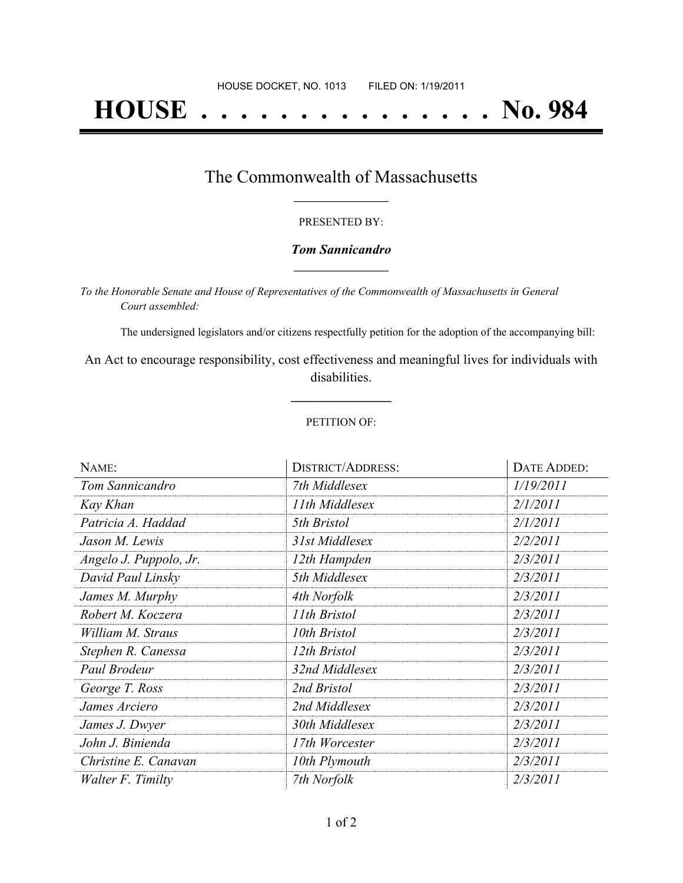# **HOUSE . . . . . . . . . . . . . . . No. 984**

### The Commonwealth of Massachusetts **\_\_\_\_\_\_\_\_\_\_\_\_\_\_\_\_\_**

#### PRESENTED BY:

#### *Tom Sannicandro* **\_\_\_\_\_\_\_\_\_\_\_\_\_\_\_\_\_**

*To the Honorable Senate and House of Representatives of the Commonwealth of Massachusetts in General Court assembled:*

The undersigned legislators and/or citizens respectfully petition for the adoption of the accompanying bill:

An Act to encourage responsibility, cost effectiveness and meaningful lives for individuals with disabilities.

**\_\_\_\_\_\_\_\_\_\_\_\_\_\_\_**

#### PETITION OF:

| NAME:                  | <b>DISTRICT/ADDRESS:</b> | DATE ADDED: |
|------------------------|--------------------------|-------------|
| Tom Sannicandro        | 7th Middlesex            | 1/19/2011   |
| Kay Khan               | 11th Middlesex           | 2/1/2011    |
| Patricia A. Haddad     | 5th Bristol              | 2/1/2011    |
| Jason M. Lewis         | 31st Middlesex           | 2/2/2011    |
| Angelo J. Puppolo, Jr. | 12th Hampden             | 2/3/2011    |
| David Paul Linsky      | 5th Middlesex            | 2/3/2011    |
| James M. Murphy        | 4th Norfolk              | 2/3/2011    |
| Robert M. Koczera      | 11th Bristol             | 2/3/2011    |
| William M. Straus      | 10th Bristol             | 2/3/2011    |
| Stephen R. Canessa     | 12th Bristol             | 2/3/2011    |
| Paul Brodeur           | 32nd Middlesex           | 2/3/2011    |
| George T. Ross         | 2nd Bristol              | 2/3/2011    |
| James Arciero          | 2nd Middlesex            | 2/3/2011    |
| James J. Dwyer         | 30th Middlesex           | 2/3/2011    |
| John J. Binienda       | 17th Worcester           | 2/3/2011    |
| Christine E. Canavan   | 10th Plymouth            | 2/3/2011    |
| Walter F. Timilty      | 7th Norfolk              | 2/3/2011    |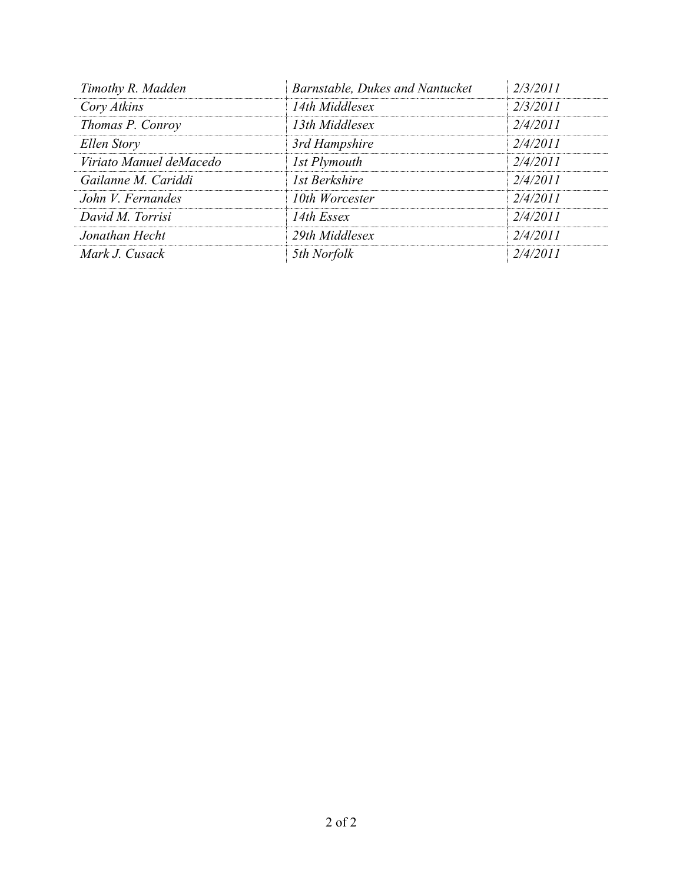| Timothy R. Madden       | Barnstable, Dukes and Nantucket | 2/3/2011 |
|-------------------------|---------------------------------|----------|
| Cory Atkins             | 14th Middlesex                  | 2/3/2011 |
| Thomas P. Conroy        | 13th Middlesex                  | 2/4/2011 |
| Ellen Story             | 3rd Hampshire                   | 2/4/2011 |
| Viriato Manuel deMacedo | 1st Plymouth                    | 2/4/2011 |
| Gailanne M. Cariddi     | 1st Berkshire                   | 2/4/2011 |
| John V. Fernandes       | 10th Worcester                  | 2/4/2011 |
| David M. Torrisi        | 14th Essex                      | 2/4/2011 |
| Jonathan Hecht          | 29th Middlesex                  | 2/4/2011 |
| Mark J. Cusack          | 5th Norfolk                     | 2/4/2011 |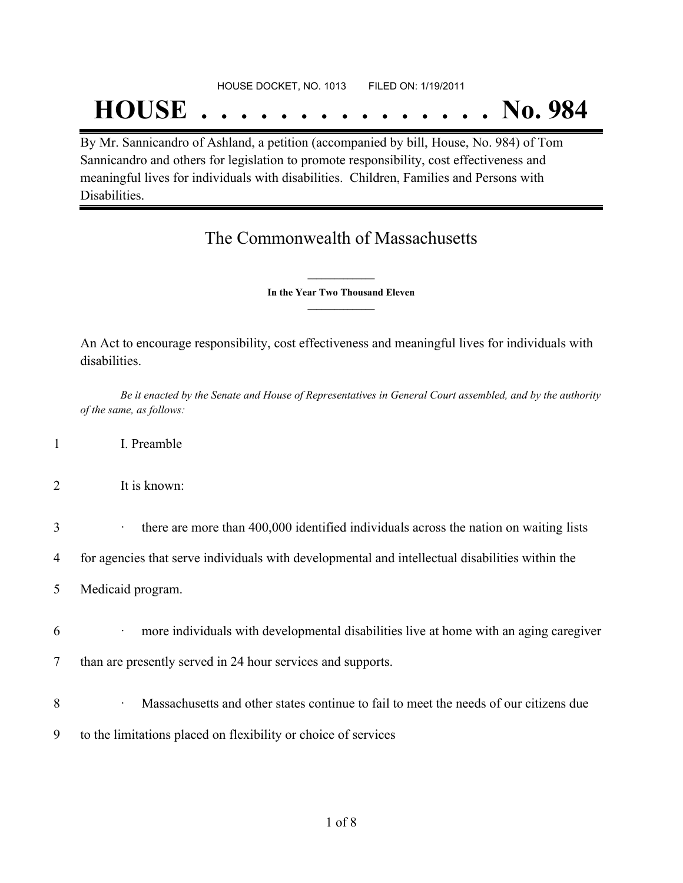#### HOUSE DOCKET, NO. 1013 FILED ON: 1/19/2011

## **HOUSE . . . . . . . . . . . . . . . No. 984**

By Mr. Sannicandro of Ashland, a petition (accompanied by bill, House, No. 984) of Tom Sannicandro and others for legislation to promote responsibility, cost effectiveness and meaningful lives for individuals with disabilities. Children, Families and Persons with Disabilities.

## The Commonwealth of Massachusetts

**\_\_\_\_\_\_\_\_\_\_\_\_\_\_\_ In the Year Two Thousand Eleven \_\_\_\_\_\_\_\_\_\_\_\_\_\_\_**

An Act to encourage responsibility, cost effectiveness and meaningful lives for individuals with disabilities.

Be it enacted by the Senate and House of Representatives in General Court assembled, and by the authority *of the same, as follows:*

- 1 I. Preamble
- 2 It is known:
- 3 there are more than 400,000 identified individuals across the nation on waiting lists

4 for agencies that serve individuals with developmental and intellectual disabilities within the

- 5 Medicaid program.
- 6 · more individuals with developmental disabilities live at home with an aging caregiver
- 7 than are presently served in 24 hour services and supports.
- 8 **8** Massachusetts and other states continue to fail to meet the needs of our citizens due
- 9 to the limitations placed on flexibility or choice of services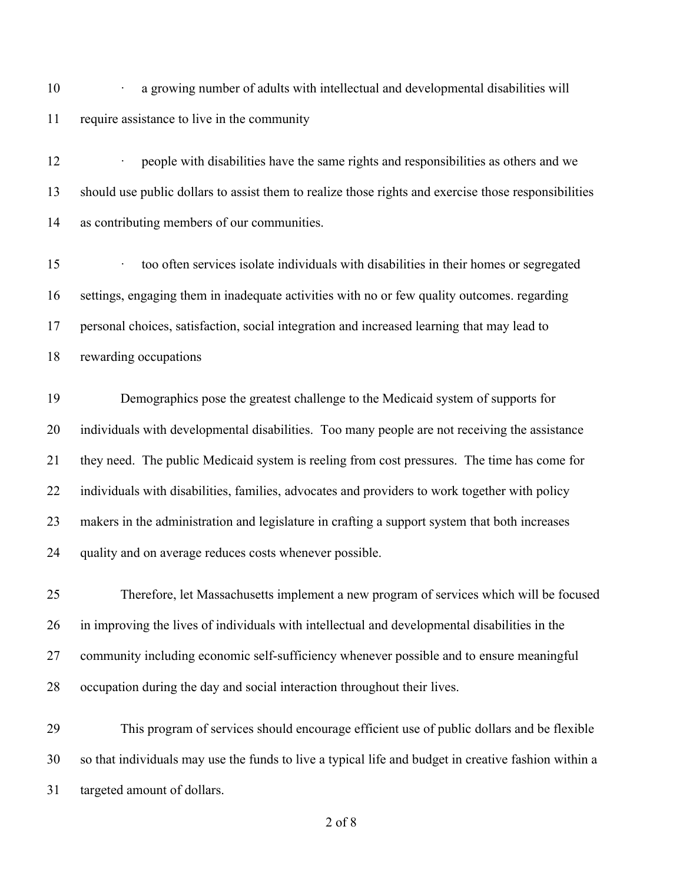**· a growing number of adults with intellectual and developmental disabilities will** require assistance to live in the community

 · people with disabilities have the same rights and responsibilities as others and we should use public dollars to assist them to realize those rights and exercise those responsibilities as contributing members of our communities.

15 too often services isolate individuals with disabilities in their homes or segregated settings, engaging them in inadequate activities with no or few quality outcomes. regarding personal choices, satisfaction, social integration and increased learning that may lead to rewarding occupations

 Demographics pose the greatest challenge to the Medicaid system of supports for individuals with developmental disabilities. Too many people are not receiving the assistance they need. The public Medicaid system is reeling from cost pressures. The time has come for individuals with disabilities, families, advocates and providers to work together with policy makers in the administration and legislature in crafting a support system that both increases quality and on average reduces costs whenever possible.

 Therefore, let Massachusetts implement a new program of services which will be focused in improving the lives of individuals with intellectual and developmental disabilities in the community including economic self-sufficiency whenever possible and to ensure meaningful occupation during the day and social interaction throughout their lives.

 This program of services should encourage efficient use of public dollars and be flexible so that individuals may use the funds to live a typical life and budget in creative fashion within a targeted amount of dollars.

of 8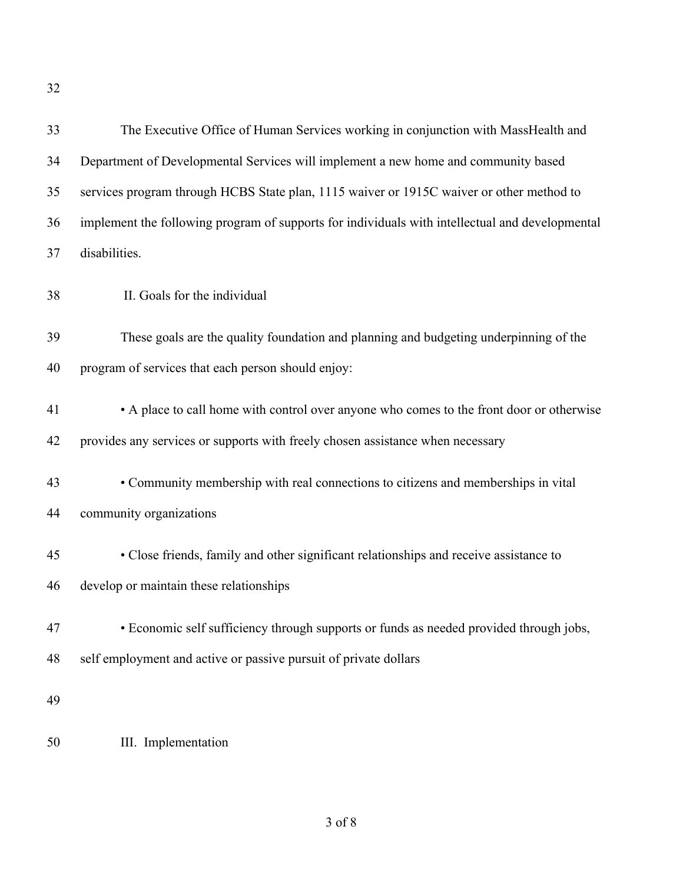| 33 | The Executive Office of Human Services working in conjunction with MassHealth and               |
|----|-------------------------------------------------------------------------------------------------|
| 34 | Department of Developmental Services will implement a new home and community based              |
| 35 | services program through HCBS State plan, 1115 waiver or 1915C waiver or other method to        |
| 36 | implement the following program of supports for individuals with intellectual and developmental |
| 37 | disabilities.                                                                                   |
| 38 | II. Goals for the individual                                                                    |
| 39 | These goals are the quality foundation and planning and budgeting underpinning of the           |
| 40 | program of services that each person should enjoy:                                              |
| 41 | • A place to call home with control over anyone who comes to the front door or otherwise        |
| 42 | provides any services or supports with freely chosen assistance when necessary                  |
| 43 | • Community membership with real connections to citizens and memberships in vital               |
| 44 | community organizations                                                                         |
| 45 | • Close friends, family and other significant relationships and receive assistance to           |
| 46 | develop or maintain these relationships                                                         |
| 47 | • Economic self sufficiency through supports or funds as needed provided through jobs,          |
| 48 | self employment and active or passive pursuit of private dollars                                |
| 49 |                                                                                                 |
| 50 | III. Implementation                                                                             |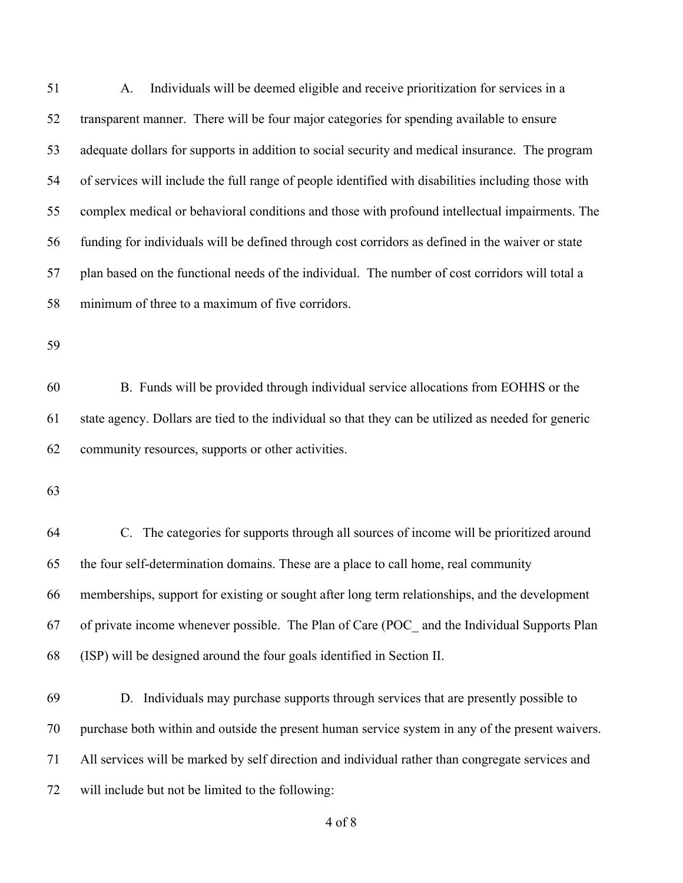| 51 | Individuals will be deemed eligible and receive prioritization for services in a<br>A.              |
|----|-----------------------------------------------------------------------------------------------------|
| 52 | transparent manner. There will be four major categories for spending available to ensure            |
| 53 | adequate dollars for supports in addition to social security and medical insurance. The program     |
| 54 | of services will include the full range of people identified with disabilities including those with |
| 55 | complex medical or behavioral conditions and those with profound intellectual impairments. The      |
| 56 | funding for individuals will be defined through cost corridors as defined in the waiver or state    |
| 57 | plan based on the functional needs of the individual. The number of cost corridors will total a     |
| 58 | minimum of three to a maximum of five corridors.                                                    |
| 59 |                                                                                                     |
| 60 | B. Funds will be provided through individual service allocations from EOHHS or the                  |
| 61 | state agency. Dollars are tied to the individual so that they can be utilized as needed for generic |
| 62 | community resources, supports or other activities.                                                  |
| 63 |                                                                                                     |
|    |                                                                                                     |
| 64 | C. The categories for supports through all sources of income will be prioritized around             |
| 65 | the four self-determination domains. These are a place to call home, real community                 |
| 66 | memberships, support for existing or sought after long term relationships, and the development      |
| 67 | of private income whenever possible. The Plan of Care (POC_ and the Individual Supports Plan        |
| 68 | (ISP) will be designed around the four goals identified in Section II.                              |
| 69 | Individuals may purchase supports through services that are presently possible to<br>D.             |

purchase both within and outside the present human service system in any of the present waivers.

All services will be marked by self direction and individual rather than congregate services and

will include but not be limited to the following: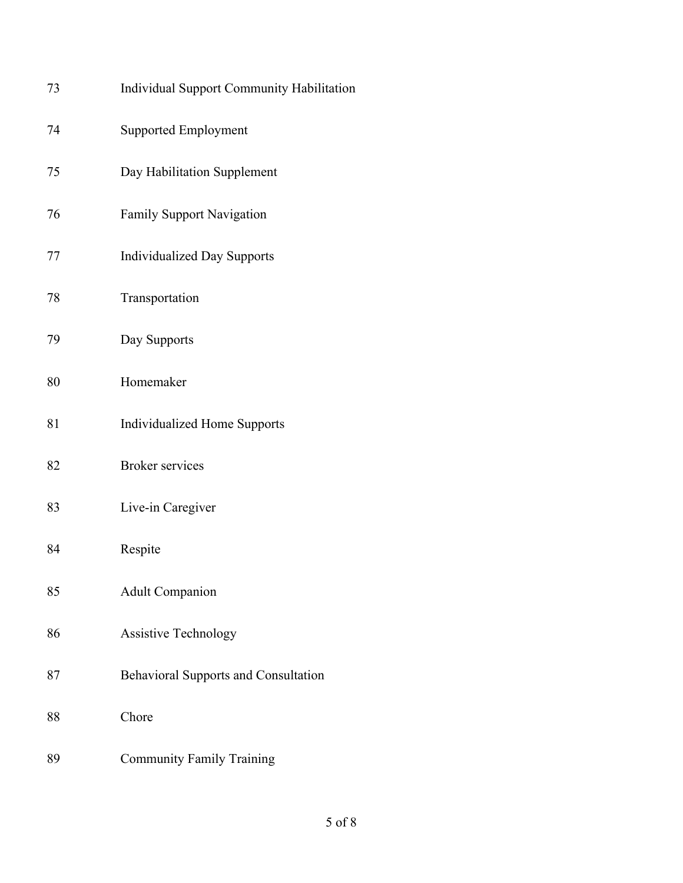| 73 | Individual Support Community Habilitation   |
|----|---------------------------------------------|
| 74 | <b>Supported Employment</b>                 |
| 75 | Day Habilitation Supplement                 |
| 76 | <b>Family Support Navigation</b>            |
| 77 | <b>Individualized Day Supports</b>          |
| 78 | Transportation                              |
| 79 | Day Supports                                |
| 80 | Homemaker                                   |
| 81 | <b>Individualized Home Supports</b>         |
| 82 | <b>Broker services</b>                      |
| 83 | Live-in Caregiver                           |
| 84 | Respite                                     |
| 85 | <b>Adult Companion</b>                      |
| 86 | <b>Assistive Technology</b>                 |
| 87 | <b>Behavioral Supports and Consultation</b> |
| 88 | Chore                                       |
| 89 | <b>Community Family Training</b>            |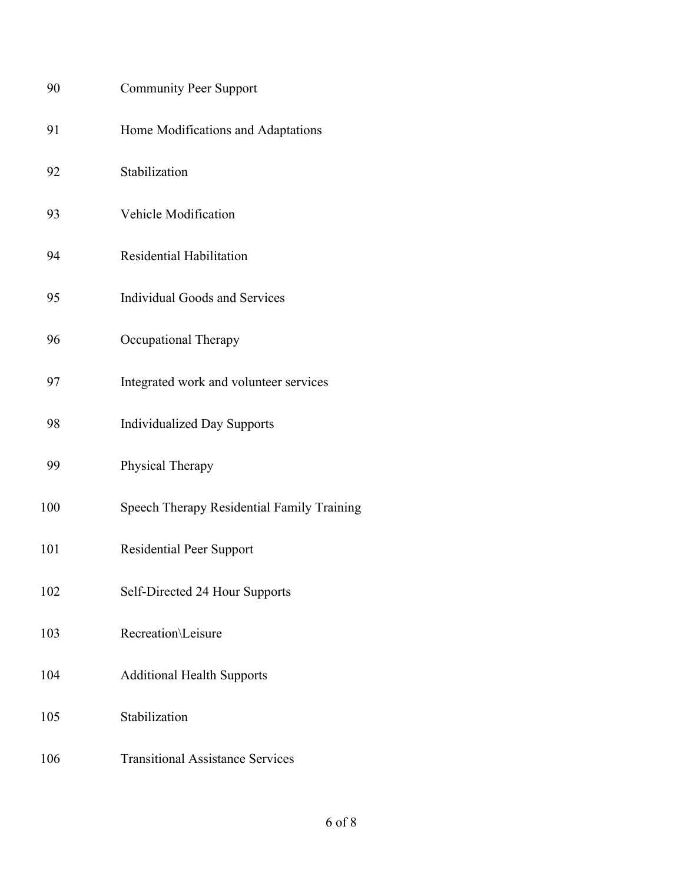| 90  | <b>Community Peer Support</b>              |
|-----|--------------------------------------------|
| 91  | Home Modifications and Adaptations         |
| 92  | Stabilization                              |
| 93  | Vehicle Modification                       |
| 94  | Residential Habilitation                   |
| 95  | <b>Individual Goods and Services</b>       |
| 96  | Occupational Therapy                       |
| 97  | Integrated work and volunteer services     |
| 98  | <b>Individualized Day Supports</b>         |
| 99  | Physical Therapy                           |
| 100 | Speech Therapy Residential Family Training |
| 101 | <b>Residential Peer Support</b>            |
| 102 | Self-Directed 24 Hour Supports             |
| 103 | Recreation\Leisure                         |
| 104 | <b>Additional Health Supports</b>          |
| 105 | Stabilization                              |
| 106 | <b>Transitional Assistance Services</b>    |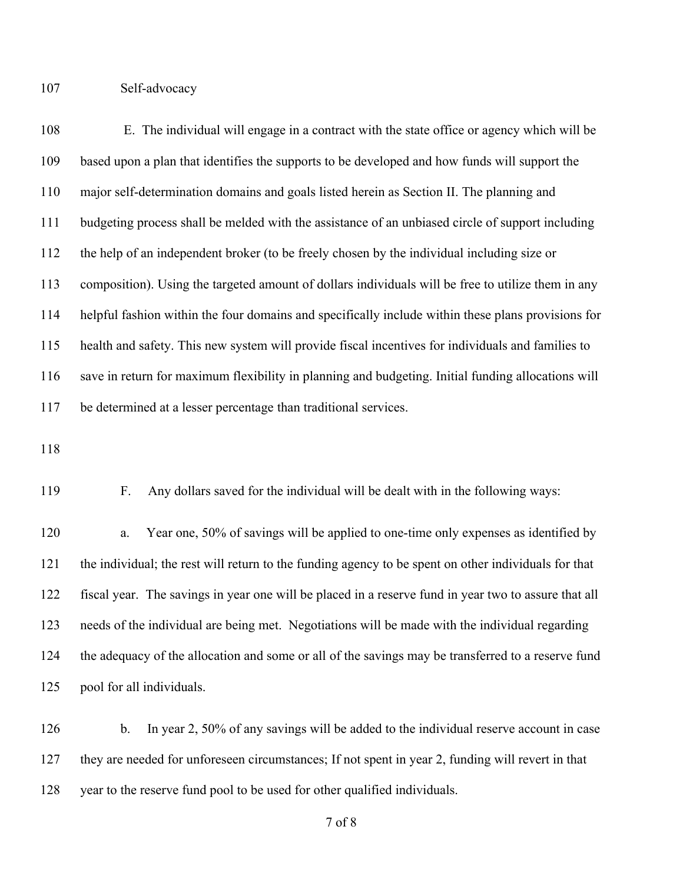Self-advocacy

 E. The individual will engage in a contract with the state office or agency which will be based upon a plan that identifies the supports to be developed and how funds will support the major self-determination domains and goals listed herein as Section II. The planning and budgeting process shall be melded with the assistance of an unbiased circle of support including the help of an independent broker (to be freely chosen by the individual including size or composition). Using the targeted amount of dollars individuals will be free to utilize them in any helpful fashion within the four domains and specifically include within these plans provisions for health and safety. This new system will provide fiscal incentives for individuals and families to save in return for maximum flexibility in planning and budgeting. Initial funding allocations will be determined at a lesser percentage than traditional services.

F. Any dollars saved for the individual will be dealt with in the following ways:

 a. Year one, 50% of savings will be applied to one-time only expenses as identified by the individual; the rest will return to the funding agency to be spent on other individuals for that fiscal year. The savings in year one will be placed in a reserve fund in year two to assure that all needs of the individual are being met. Negotiations will be made with the individual regarding the adequacy of the allocation and some or all of the savings may be transferred to a reserve fund pool for all individuals.

126 b. In year 2, 50% of any savings will be added to the individual reserve account in case they are needed for unforeseen circumstances; If not spent in year 2, funding will revert in that year to the reserve fund pool to be used for other qualified individuals.

of 8